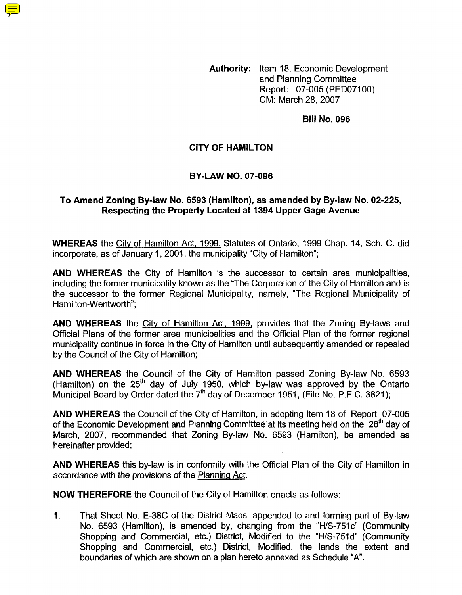**Authority:** Item 18, Economic Development and Planning Committee Report: 07-005 (PED07100) CM: March 28,2007

**Bill No. 096** 

#### **CITY OF HAMILTON**

#### **BY-LAW NO. 07-096**

### To Amend Zoning By-law No. 6593 (Hamilton), as amended by By-law No. 02-225, **Respecting the Property Located at 1394 Upper Gage Avenue**

**WHEREAS** the Citv of Hamilton Act, 1999, Statutes of Ontario, 1999 Chap. 14, Sch. C. did incorporate, as of January 1, 2001, the municipality "City of Hamilton":

**AND WHEREAS** the City of Hamilton is the successor to certain area municipalities, including the former municipality known as the "The Corporation of the City of Hamilton and is the successor to the former Regional Municipality, namely, "The Regional Municipality of Hamilton-Wentworth":

**AND WHEREAS** the Citv of Hamilton Act, 1999, provides that the Zoning By-laws and Official Plans of the former area municipalities and the Official Plan of the former regional municipality continue in force in the City of Hamilton until subsequently amended or repealed by the Council of the City of Hamilton;

**AND WHEREAS** the Council of the City of Hamilton passed Zoning By-law No. 6593 (Hamilton) on the  $25<sup>th</sup>$  day of July 1950, which by-law was approved by the Ontario Municipal Board by Order dated the 7'h day of December 1951 , (File No. P.F.C. 3821);

**AND WHEREAS** the Council of the City of Hamilton, in adopting Item 18 of Report 07-005 of the Economic Development and Planning Committee at its meeting held on the 28<sup>th</sup> day of March, 2007, recommended that Zoning By-law No. 6593 (Hamilton), be amended as hereinafter provided;

**AND WHEREAS** this by-law is in conformity with the Official Plan of the City of Hamilton in accordance with the provisions of the Planning Act.

**NOW THEREFORE** the Council of the City of Hamilton enacts as follows:

1. That Sheet No. E-38C of the District Maps, appended to and forming part of By-law No. 6593 (Hamilton), is amended by, changing from the "HIS-751c" (Community Shopping and Commercial, etc.) District, Modified to the "H/S-751d" (Community Shopping and Commercial, etc.) District, Modified, the lands the extent and boundaries of which are shown on a plan hereto annexed as Schedule "A".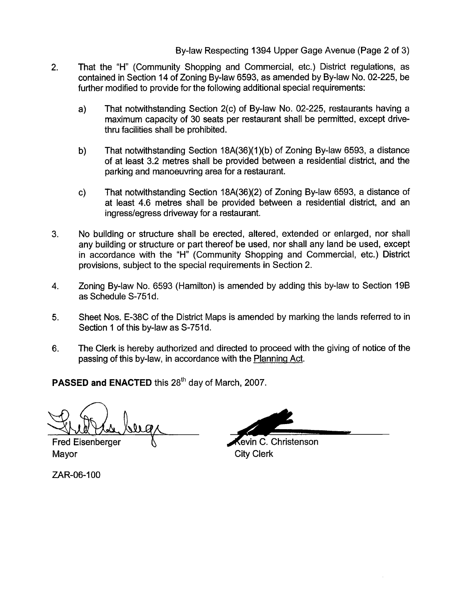# By-law Respecting 1394 Upper Gage Avenue (Page 2 of 3)

- That the "H" (Community Shopping and Commercial, etc.) District regulations, as contained in Section 14 of Zoning By-law 6593, as amended by By-law No. 02-225, be further modified to provide for the following additional special requirements: 2.
	- a) That notwithstanding Section 2(c) of By-law No. 02-225, restaurants having a maximum capacity of 30 seats per restaurant shall be permitted, except drivethru facilities shall be prohibited.
	- b) That notwithstanding Section 18A(36)(1)(b) of Zoning By-law 6593, a distance of at least 3.2 metres shall be provided between a residential district, and the parking and manoeuvring area for a restaurant.
	- c) That notwithstanding Section 18A(36)(2) of Zoning By-law 6593, a distance of at least 4.6 metres shall be provided between a residential district, and an ingress/egress driveway for a restaurant.
- 3. No building or structure shall be erected, altered, extended or enlarged, nor shall any building or structure or part thereof be used, nor shall any land be used, except in accordance with the "H" (Community Shopping and Commercial, etc.) District provisions, subject to the special requirements in Section 2.
- **4.** Zoning By-law No. 6593 (Hamilton) is amended by adding this by-law to Section 19B as Schedule S-751d.
- **5.** Sheet Nos. E-38C of the District Maps is amended by marking the lands referred to in Section 1 of this by-law as S-751d.
- 6. The Clerk is hereby authorized and directed to proceed with the giving of notice of the passing of this by-law, in accordance with the Planning Act.

PASSED and ENACTED this 28<sup>th</sup> day of March, 2007.

**Fred Eisenberger** 

ZAR-06-100

**Cevin C. Christenson** Mayor **City Clerk**